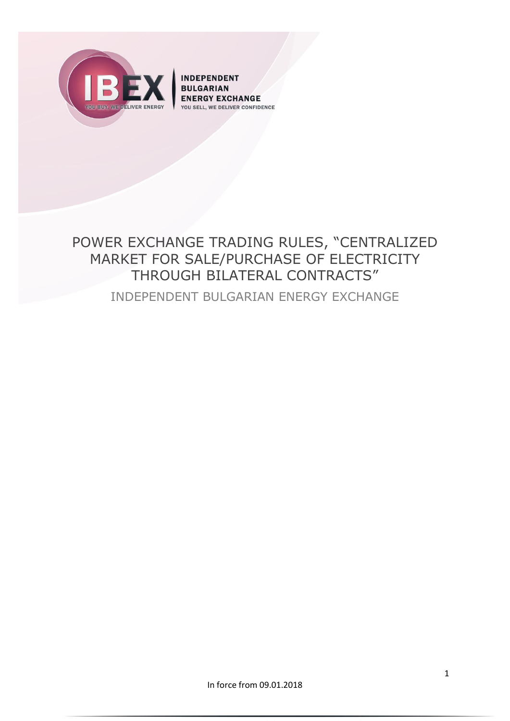

**INDEPENDENT BULGARIAN ENERGY EXCHANGE YOU SELL, WE DELIVER CONFIDENCE** 

# POWER EXCHANGE TRADING RULES, "CENTRALIZED MARKET FOR SALE/PURCHASE OF ELECTRICITY THROUGH BILATERAL CONTRACTS" INDEPENDENT BULGARIAN ENERGY EXCHANGE

In force from 09.01.2018

1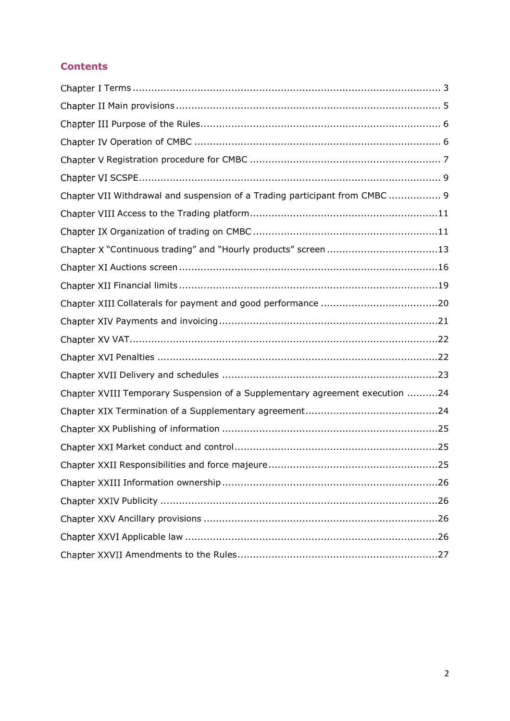# **Contents**

| Chapter VII Withdrawal and suspension of a Trading participant from CMBC  9  |
|------------------------------------------------------------------------------|
|                                                                              |
|                                                                              |
| Chapter X "Continuous trading" and "Hourly products" screen 13               |
|                                                                              |
|                                                                              |
|                                                                              |
|                                                                              |
|                                                                              |
|                                                                              |
|                                                                              |
| Chapter XVIII Temporary Suspension of a Supplementary agreement execution 24 |
|                                                                              |
|                                                                              |
|                                                                              |
|                                                                              |
|                                                                              |
|                                                                              |
|                                                                              |
|                                                                              |
|                                                                              |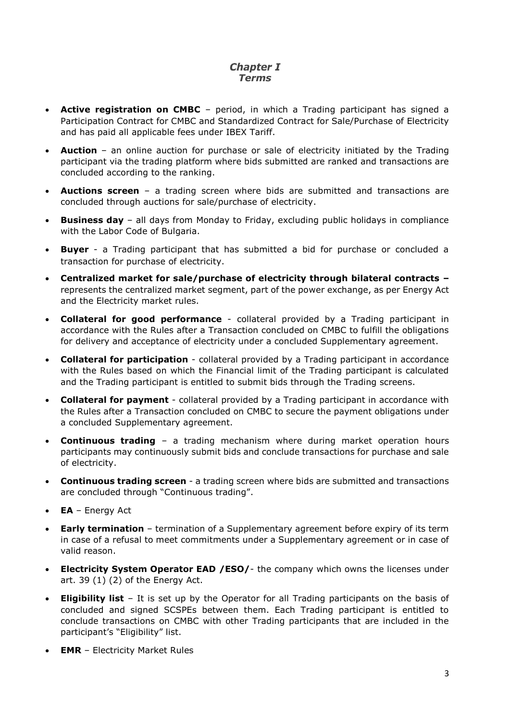# **Chapter I** *Terms*

- <span id="page-2-0"></span> **Active registration on CMBC** – period, in which a Trading participant has signed a Participation Contract for CMBC and Standardized Contract for Sale/Purchase of Electricity and has paid all applicable fees under IBEX Tariff.
- **Auction**  an online auction for purchase or sale of electricity initiated by the Trading participant via the trading platform where bids submitted are ranked and transactions are concluded according to the ranking.
- **Auctions screen** a trading screen where bids are submitted and transactions are concluded through auctions for sale/purchase of electricity.
- **Business day** all days from Monday to Friday, excluding public holidays in compliance with the Labor Code of Bulgaria.
- **Buyer** a Trading participant that has submitted a bid for purchase or concluded a transaction for purchase of electricity.
- **Centralized market for sale/purchase of electricity through bilateral contracts –** represents the centralized market segment, part of the power exchange, as per Energy Act and the Electricity market rules.
- **Collateral for good performance**  collateral provided by a Trading participant in accordance with the Rules after a Transaction concluded on CMBC to fulfill the obligations for delivery and acceptance of electricity under a concluded Supplementary agreement.
- **Collateral for participation**  collateral provided by a Trading participant in accordance with the Rules based on which the Financial limit of the Trading participant is calculated and the Trading participant is entitled to submit bids through the Trading screens.
- **Collateral for payment**  collateral provided by a Trading participant in accordance with the Rules after a Transaction concluded on CMBC to secure the payment obligations under a concluded Supplementary agreement.
- **Continuous trading** a trading mechanism where during market operation hours participants may continuously submit bids and conclude transactions for purchase and sale of electricity.
- **Continuous trading screen**  a trading screen where bids are submitted and transactions are concluded through "Continuous trading".
- **EA** Energy Act
- **Early termination** termination of a Supplementary agreement before expiry of its term in case of a refusal to meet commitments under a Supplementary agreement or in case of valid reason.
- **Electricity System Operator EAD /ESO/-** the company which owns the licenses under art. 39 (1) (2) of the Energy Act.
- **Eligibility list** It is set up by the Operator for all Trading participants on the basis of concluded and signed SCSPEs between them. Each Trading participant is entitled to conclude transactions on CMBC with other Trading participants that are included in the participant's "Eligibility" list.
- **EMR** Electricity Market Rules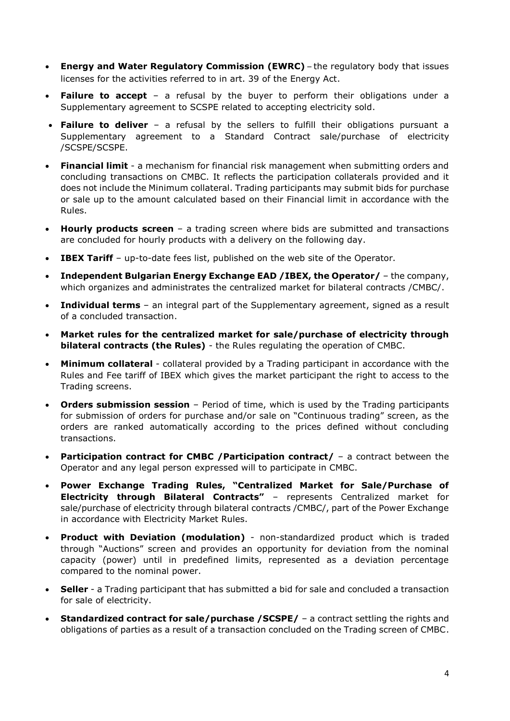- **Energy and Water Regulatory Commission (EWRC)** the regulatory body that issues licenses for the activities referred to in art. 39 of the Energy Act.
- **Failure to accept** a refusal by the buyer to perform their obligations under a Supplementary agreement to SCSPE related to accepting electricity sold.
- **Failure to deliver**  a refusal by the sellers to fulfill their obligations pursuant a Supplementary agreement to a Standard Contract sale/purchase of electricity /SCSPE/SCSPE.
- **Financial limit**  a mechanism for financial risk management when submitting orders and concluding transactions on CMBC. It reflects the participation collaterals provided and it does not include the Minimum collateral. Trading participants may submit bids for purchase or sale up to the amount calculated based on their Financial limit in accordance with the Rules.
- **Hourly products screen** a trading screen where bids are submitted and transactions are concluded for hourly products with a delivery on the following day.
- **IBEX Tariff** up-to-date fees list, published on the web site of the Operator.
- **Independent Bulgarian Energy Exchange EAD /IBEX, the Operator/** the company, which organizes and administrates the centralized market for bilateral contracts /CMBC/.
- **Individual terms** an integral part of the Supplementary agreement, signed as a result of a concluded transaction.
- **Market rules for the centralized market for sale/purchase of electricity through bilateral contracts (the Rules)** - the Rules regulating the operation of CMBC.
- **Minimum collateral**  collateral provided by a Trading participant in accordance with the Rules and Fee tariff of IBEX which gives the market participant the right to access to the Trading screens.
- **Orders submission session** Period of time, which is used by the Trading participants for submission of orders for purchase and/or sale on "Continuous trading" screen, as the orders are ranked automatically according to the prices defined without concluding transactions.
- **Participation contract for CMBC /Participation contract/** a contract between the Operator and any legal person expressed will to participate in CMBC.
- **Power Exchange Trading Rules, "Centralized Market for Sale/Purchase of Electricity through Bilateral Contracts"** – represents Centralized market for sale/purchase of electricity through bilateral contracts /CMBC/, part of the Power Exchange in accordance with Electricity Market Rules.
- **Product with Deviation (modulation)** non-standardized product which is traded through "Auctions" screen and provides an opportunity for deviation from the nominal capacity (power) until in predefined limits, represented as a deviation percentage compared to the nominal power.
- **Seller** a Trading participant that has submitted a bid for sale and concluded a transaction for sale of electricity.
- **Standardized contract for sale/purchase /SCSPE/** a contract settling the rights and obligations of parties as a result of a transaction concluded on the Trading screen of CMBC.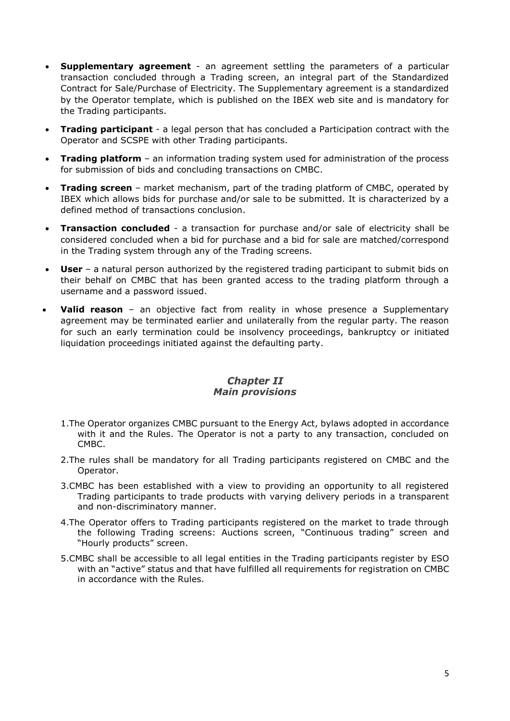- **Supplementary agreement** an agreement settling the parameters of a particular transaction concluded through a Trading screen, an integral part of the Standardized Contract for Sale/Purchase of Electricity. The Supplementary agreement is a standardized by the Operator template, which is published on the IBEX web site and is mandatory for the Trading participants.
- **Trading participant**  a legal person that has concluded a Participation contract with the Operator and SCSPE with other Trading participants.
- **Trading platform** an information trading system used for administration of the process for submission of bids and concluding transactions on CMBC.
- **Trading screen** market mechanism, part of the trading platform of CMBC, operated by IBEX which allows bids for purchase and/or sale to be submitted. It is characterized by a defined method of transactions conclusion.
- **Transaction concluded** a transaction for purchase and/or sale of electricity shall be considered concluded when a bid for purchase and a bid for sale are matched/correspond in the Trading system through any of the Trading screens.
- **User** a natural person authorized by the registered trading participant to submit bids on their behalf on CMBC that has been granted access to the trading platform through a username and a password issued.
- **Valid reason** an objective fact from reality in whose presence a Supplementary agreement may be terminated earlier and unilaterally from the regular party. The reason for such an early termination could be insolvency proceedings, bankruptcy or initiated liquidation proceedings initiated against the defaulting party.

#### **Chapter II** *Main provisions*

- <span id="page-4-0"></span>1.The Operator organizes CMBC pursuant to the Energy Act, bylaws adopted in accordance with it and the Rules. The Operator is not a party to any transaction, concluded on CMBC.
- 2.The rules shall be mandatory for all Trading participants registered on CMBC and the Operator.
- 3.CMBC has been established with a view to providing an opportunity to all registered Trading participants to trade products with varying delivery periods in a transparent and non-discriminatory manner.
- 4.The Operator offers to Trading participants registered on the market to trade through the following Trading screens: Auctions screen, "Continuous trading" screen and "Hourly products" screen.
- 5.CMBC shall be accessible to all legal entities in the Trading participants register by ESO with an "active" status and that have fulfilled all requirements for registration on CMBC in accordance with the Rules.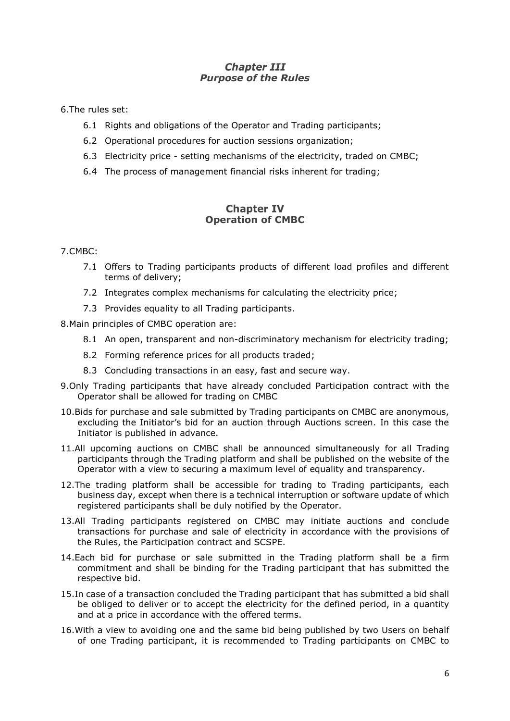# **Chapter III** *Purpose of the Rules*

<span id="page-5-0"></span>6.The rules set:

- 6.1 Rights and obligations of the Operator and Trading participants;
- 6.2 Operational procedures for auction sessions organization;
- 6.3 Electricity price setting mechanisms of the electricity, traded on CMBC;
- 6.4 The process of management financial risks inherent for trading;

# **Chapter IV Operation of CMBC**

#### <span id="page-5-1"></span>7.CMBC:

- 7.1 Offers to Trading participants products of different load profiles and different terms of delivery;
- 7.2 Integrates complex mechanisms for calculating the electricity price;
- 7.3 Provides equality to all Trading participants.

8.Main principles of CMBC operation are:

- 8.1 An open, transparent and non-discriminatory mechanism for electricity trading;
- 8.2 Forming reference prices for all products traded;
- 8.3 Concluding transactions in an easy, fast and secure way.
- 9.Only Trading participants that have already concluded Participation contract with the Operator shall be allowed for trading on CMBC
- 10.Bids for purchase and sale submitted by Trading participants on CMBC are anonymous, excluding the Initiator's bid for an auction through Auctions screen. In this case the Initiator is published in advance.
- 11.All upcoming auctions on CMBC shall be announced simultaneously for all Trading participants through the Trading platform and shall be published on the website of the Operator with a view to securing a maximum level of equality and transparency.
- <span id="page-5-2"></span>12.The trading platform shall be accessible for trading to Trading participants, each business day, except when there is a technical interruption or software update of which registered participants shall be duly notified by the Operator.
- 13.All Trading participants registered on CMBC may initiate auctions and conclude transactions for purchase and sale of electricity in accordance with the provisions of the Rules, the Participation contract and SCSPE.
- 14.Each bid for purchase or sale submitted in the Trading platform shall be a firm commitment and shall be binding for the Trading participant that has submitted the respective bid.
- 15.In case of a transaction concluded the Trading participant that has submitted a bid shall be obliged to deliver or to accept the electricity for the defined period, in a quantity and at a price in accordance with the offered terms.
- 16.With a view to avoiding one and the same bid being published by two Users on behalf of one Trading participant, it is recommended to Trading participants on CMBC to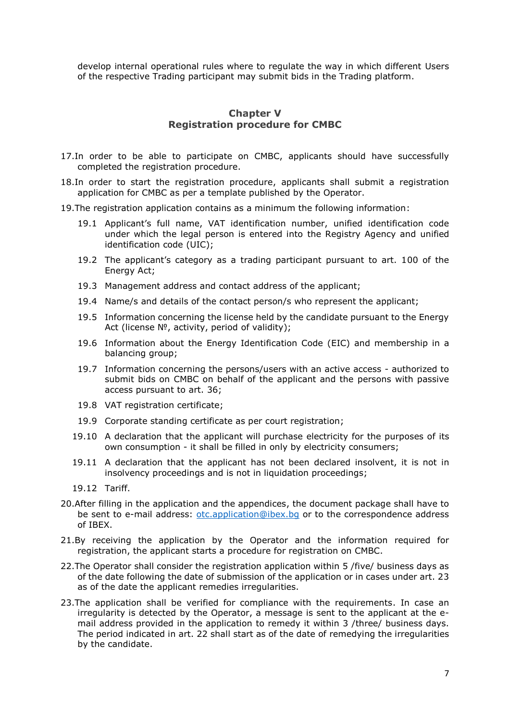develop internal operational rules where to regulate the way in which different Users of the respective Trading participant may submit bids in the Trading platform.

# **Chapter V Registration procedure for CMBC**

- <span id="page-6-0"></span>17.In order to be able to participate on CMBC, applicants should have successfully completed the registration procedure.
- 18.In order to start the registration procedure, applicants shall submit a registration application for CMBC as per a template published by the Operator.
- 19.The registration application contains as a minimum the following information:
	- 19.1 Applicant's full name, VAT identification number, unified identification code under which the legal person is entered into the Registry Agency and unified identification code (UIC);
	- 19.2 The applicant's category as a trading participant pursuant to art. 100 of the Energy Act;
	- 19.3 Management address and contact address of the applicant;
	- 19.4 Name/s and details of the contact person/s who represent the applicant;
	- 19.5 Information concerning the license held by the candidate pursuant to the Energy Act (license  $N_1^0$ , activity, period of validity);
	- 19.6 Information about the Energy Identification Code (EIC) and membership in a balancing group:
	- 19.7 Information concerning the persons/users with an active access authorized to submit bids on CMBC on behalf of the applicant and the persons with passive access pursuant to art. 36;
	- 19.8 VAT registration certificate;
	- 19.9 Corporate standing certificate as per court registration;
	- 19.10 A declaration that the applicant will purchase electricity for the purposes of its own consumption - it shall be filled in only by electricity consumers;
	- 19.11 A declaration that the applicant has not been declared insolvent, it is not in insolvency proceedings and is not in liquidation proceedings;
	- 19.12 Tariff.
- <span id="page-6-2"></span>20.After filling in the application and the appendices, the document package shall have to be sent to e-mail address: [otc.application@ibex.bg](mailto:otc.application@ibex.bg) or to the correspondence address of IBEX.
- 21.By receiving the application by the Operator and the information required for registration, the applicant starts a procedure for registration on CMBC.
- 22.The Operator shall consider the registration application within 5 /five/ business days as of the date following the date of submission of the application or in cases under art. 23 as of the date the applicant remedies irregularities.
- <span id="page-6-1"></span>23.The application shall be verified for compliance with the requirements. In case an irregularity is detected by the Operator, a message is sent to the applicant at the email address provided in the application to remedy it within 3 /three/ business days. The period indicated in art. 22 shall start as of the date of remedying the irregularities by the candidate.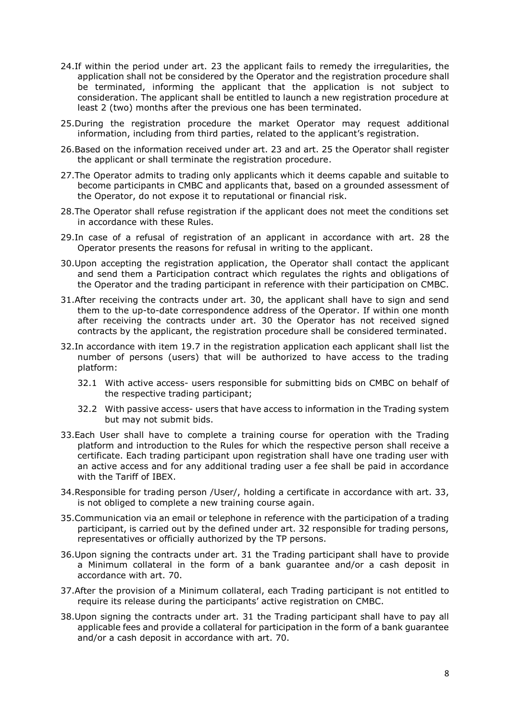- 24.If within the period under art. 23 the applicant fails to remedy the irregularities, the application shall not be considered by the Operator and the registration procedure shall be terminated, informing the applicant that the application is not subject to consideration. The applicant shall be entitled to launch a new registration procedure at least 2 (two) months after the previous one has been terminated.
- <span id="page-7-0"></span>25.During the registration procedure the market Operator may request additional information, including from third parties, related to the applicant's registration.
- 26.Based on the information received under art. [23](#page-6-1) and art. [25](#page-7-0) the Operator shall register the applicant or shall terminate the registration procedure.
- 27.The Operator admits to trading only applicants which it deems capable and suitable to become participants in CMBC and applicants that, based on a grounded assessment of the Operator, do not expose it to reputational or financial risk.
- 28.The Operator shall refuse registration if the applicant does not meet the conditions set in accordance with these Rules.
- 29.In case of a refusal of registration of an applicant in accordance with art. 28 the Operator presents the reasons for refusal in writing to the applicant.
- <span id="page-7-1"></span>30.Upon accepting the registration application, the Operator shall contact the applicant and send them a Participation contract which regulates the rights and obligations of the Operator and the trading participant in reference with their participation on CMBC.
- <span id="page-7-2"></span>31.After receiving the contracts under art. [30,](#page-7-1) the applicant shall have to sign and send them to the up-to-date correspondence address of the Operator. If within one month after receiving the contracts under art. [30](#page-7-1) the Operator has not received signed contracts by the applicant, the registration procedure shall be considered terminated.
- 32.In accordance with item 19.7 in the registration application each applicant shall list the number of persons (users) that will be authorized to have access to the trading platform:
	- 32.1 With active access- users responsible for submitting bids on CMBC on behalf of the respective trading participant;
	- 32.2 With passive access- users that have access to information in the Trading system but may not submit bids.
- <span id="page-7-3"></span>33.Each User shall have to complete a training course for operation with the Trading platform and introduction to the Rules for which the respective person shall receive a certificate. Each trading participant upon registration shall have one trading user with an active access and for any additional trading user a fee shall be paid in accordance with the Tariff of IBEX.
- 34.Responsible for trading person /User/, holding a certificate in accordance with art. 33, is not obliged to complete a new training course again.
- 35.Communication via an email or telephone in reference with the participation of a trading participant, is carried out by the defined under art. 32 responsible for trading persons, representatives or officially authorized by the TP persons.
- 36.Upon signing the contracts under art. [31](#page-7-2) the Trading participant shall have to provide a Minimum collateral in the form of a bank guarantee and/or a cash deposit in accordance with art. 70.
- 37.After the provision of a Minimum collateral, each Trading participant is not entitled to require its release during the participants' active registration on CMBC.
- <span id="page-7-4"></span>38.Upon signing the contracts under art. [31](#page-7-2) the Trading participant shall have to pay all applicable fees and provide a collateral for participation in the form of a bank guarantee and/or a cash deposit in accordance with art. 70.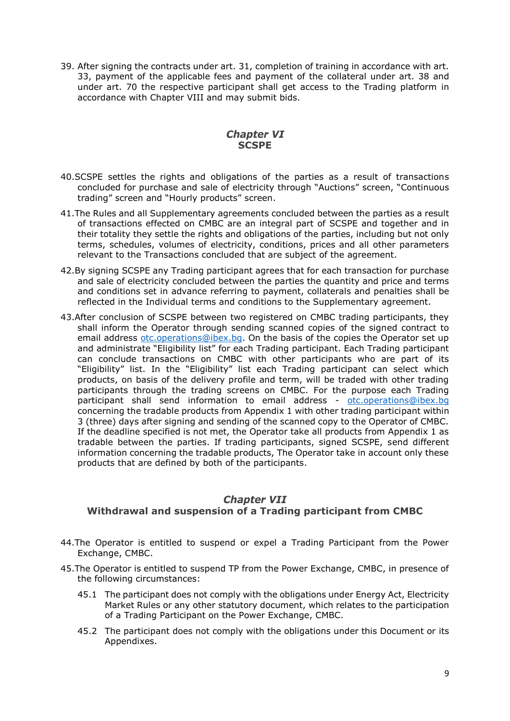<span id="page-8-2"></span>39. After signing the contracts under art. [31,](#page-7-2) completion of training in accordance with art. [33,](#page-7-3) payment of the applicable fees and payment of the collateral under art. [38](#page-7-4) and under art. 70 the respective participant shall get access to the Trading platform in accordance with Chapter VIII and may submit bids.

# **Chapter VI SCSPE**

- <span id="page-8-0"></span>40.SCSPE settles the rights and obligations of the parties as a result of transactions concluded for purchase and sale of electricity through "Auctions" screen, "Continuous trading" screen and "Hourly products" screen.
- 41.The Rules and all Supplementary agreements concluded between the parties as a result of transactions effected on CMBC are an integral part of SCSPE and together and in their totality they settle the rights and obligations of the parties, including but not only terms, schedules, volumes of electricity, conditions, prices and all other parameters relevant to the Transactions concluded that are subject of the agreement.
- 42.By signing SCSPE any Trading participant agrees that for each transaction for purchase and sale of electricity concluded between the parties the quantity and price and terms and conditions set in advance referring to payment, collaterals and penalties shall be reflected in the Individual terms and conditions to the Supplementary agreement.
- 43.After conclusion of SCSPE between two registered on CMBC trading participants, they shall inform the Operator through sending scanned copies of the signed contract to email address [otc.operations@ibex.bg.](mailto:otc.operations@ibex.bg) On the basis of the copies the Operator set up and administrate "Eligibility list" for each Trading participant. Each Trading participant can conclude transactions on CMBC with other participants who are part of its "Eligibility" list. In the "Eligibility" list each Trading participant can select which products, on basis of the delivery profile and term, will be traded with other trading participants through the trading screens on CMBC. For the purpose each Trading participant shall send information to email address - [otc.operations@ibex.bg](mailto:otc.operations@ibex.bg) concerning the tradable products from Appendix 1 with other trading participant within 3 (three) days after signing and sending of the scanned copy to the Operator of CMBC. If the deadline specified is not met, the Operator take all products from Appendix 1 as tradable between the parties. If trading participants, signed SCSPE, send different information concerning the tradable products, The Operator take in account only these products that are defined by both of the participants.

#### **Chapter VII**

# <span id="page-8-1"></span>**Withdrawal and suspension of a Trading participant from CMBC**

- 44.The Operator is entitled to suspend or expel a Trading Participant from the Power Exchange, CMBC.
- 45.The Operator is entitled to suspend TP from the Power Exchange, CMBC, in presence of the following circumstances:
	- 45.1 The participant does not comply with the obligations under Energy Act, Electricity Market Rules or any other statutory document, which relates to the participation of a Trading Participant on the Power Exchange, CMBC.
	- 45.2 The participant does not comply with the obligations under this Document or its Appendixes.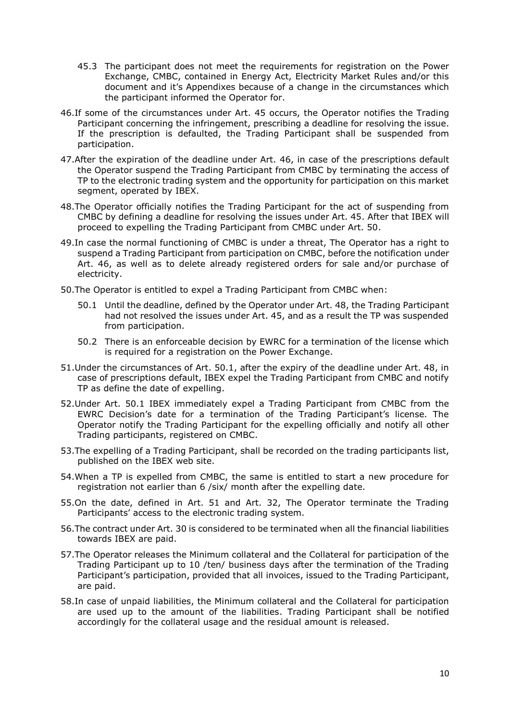- 45.3 The participant does not meet the requirements for registration on the Power Exchange, CMBC, contained in Energy Act, Electricity Market Rules and/or this document and it's Appendixes because of a change in the circumstances which the participant informed the Operator for.
- 46.If some of the circumstances under Art. 45 occurs, the Operator notifies the Trading Participant concerning the infringement, prescribing a deadline for resolving the issue. If the prescription is defaulted, the Trading Participant shall be suspended from participation.
- 47.After the expiration of the deadline under Art. 46, in case of the prescriptions default the Operator suspend the Trading Participant from CMBC by terminating the access of TP to the electronic trading system and the opportunity for participation on this market segment, operated by IBEX.
- 48.The Operator officially notifies the Trading Participant for the act of suspending from CMBC by defining a deadline for resolving the issues under Art. 45. After that IBEX will proceed to expelling the Trading Participant from CMBC under Art. 50.
- 49.In case the normal functioning of CMBC is under a threat, The Operator has a right to suspend a Trading Participant from participation on CMBC, before the notification under Art. 46, as well as to delete already registered orders for sale and/or purchase of electricity.
- 50.The Operator is entitled to expel a Trading Participant from CMBC when:
	- 50.1 Until the deadline, defined by the Operator under Art. 48, the Trading Participant had not resolved the issues under Art. 45, and as a result the TP was suspended from participation.
	- 50.2 There is an enforceable decision by EWRC for a termination of the license which is required for a registration on the Power Exchange.
- 51.Under the circumstances of Art. 50.1, after the expiry of the deadline under Art. 48, in case of prescriptions default, IBEX expel the Trading Participant from CMBC and notify TP as define the date of expelling.
- 52.Under Art. 50.1 IBEX immediately expel a Trading Participant from CMBC from the EWRC Decision's date for a termination of the Trading Participant's license. The Operator notify the Trading Participant for the expelling officially and notify all other Trading participants, registered on CMBC.
- 53.The expelling of a Trading Participant, shall be recorded on the trading participants list, published on the IBEX web site.
- 54.When a TP is expelled from CMBC, the same is entitled to start a new procedure for registration not earlier than 6 /six/ month after the expelling date.
- 55.On the date, defined in Art. 51 and Art. 32, The Operator terminate the Trading Participants' access to the electronic trading system.
- 56.The contract under Art. 30 is considered to be terminated when all the financial liabilities towards IBEX are paid.
- 57.The Operator releases the Minimum collateral and the Collateral for participation of the Trading Participant up to 10 /ten/ business days after the termination of the Trading Participant's participation, provided that all invoices, issued to the Trading Participant, are paid.
- 58.In case of unpaid liabilities, the Minimum collateral and the Collateral for participation are used up to the amount of the liabilities. Trading Participant shall be notified accordingly for the collateral usage and the residual amount is released.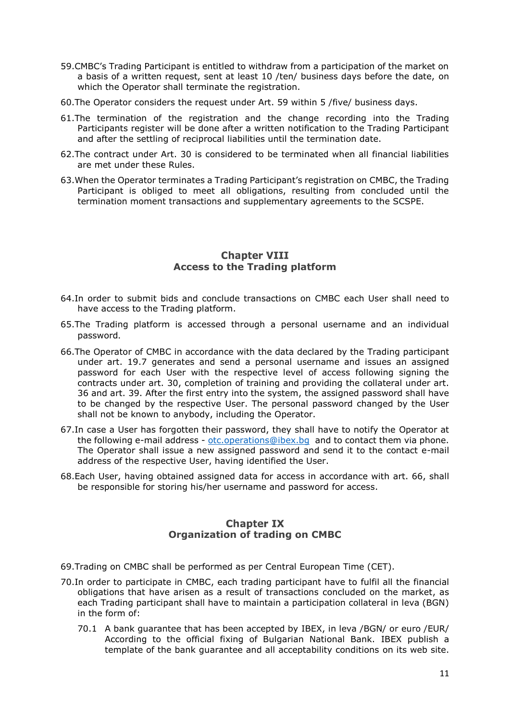- 59.CMBC's Trading Participant is entitled to withdraw from a participation of the market on a basis of a written request, sent at least 10 /ten/ business days before the date, on which the Operator shall terminate the registration.
- 60.The Operator considers the request under Art. 59 within 5 /five/ business days.
- 61.The termination of the registration and the change recording into the Trading Participants register will be done after a written notification to the Trading Participant and after the settling of reciprocal liabilities until the termination date.
- 62.The contract under Art. 30 is considered to be terminated when all financial liabilities are met under these Rules.
- 63.When the Operator terminates a Trading Participant's registration on CMBC, the Trading Participant is obliged to meet all obligations, resulting from concluded until the termination moment transactions and supplementary agreements to the SCSPE.

#### **Chapter VIII Access to the Trading platform**

- <span id="page-10-0"></span>64.In order to submit bids and conclude transactions on CMBC each User shall need to have access to the Trading platform.
- 65.The Trading platform is accessed through a personal username and an individual password.
- 66.The Operator of CMBC in accordance with the data declared by the Trading participant under art. [19.7](#page-6-2) generates and send a personal username and issues an assigned password for each User with the respective level of access following signing the contracts under art. [30,](#page-7-1) completion of training and providing the collateral under art. 36 and art. [39.](#page-8-2) After the first entry into the system, the assigned password shall have to be changed by the respective User. The personal password changed by the User shall not be known to anybody, including the Operator.
- 67.In case a User has forgotten their password, they shall have to notify the Operator at the following e-mail address - [otc.operations@ibex.bg](mailto:otc.operations@ibex.bg) and to contact them via phone. The Operator shall issue a new assigned password and send it to the contact e-mail address of the respective User, having identified the User.
- 68.Each User, having obtained assigned data for access in accordance with art. 66, shall be responsible for storing his/her username and password for access.

# **Chapter IX Organization of trading on CMBC**

- <span id="page-10-1"></span>69.Trading on CMBC shall be performed as per Central European Time (CET).
- 70.In order to participate in CMBC, each trading participant have to fulfil all the financial obligations that have arisen as a result of transactions concluded on the market, as each Trading participant shall have to maintain a participation collateral in leva (BGN) in the form of:
	- 70.1 A bank guarantee that has been accepted by IBEX, in leva /BGN/ or euro /EUR/ According to the official fixing of Bulgarian National Bank. IBEX publish a template of the bank guarantee and all acceptability conditions on its web site.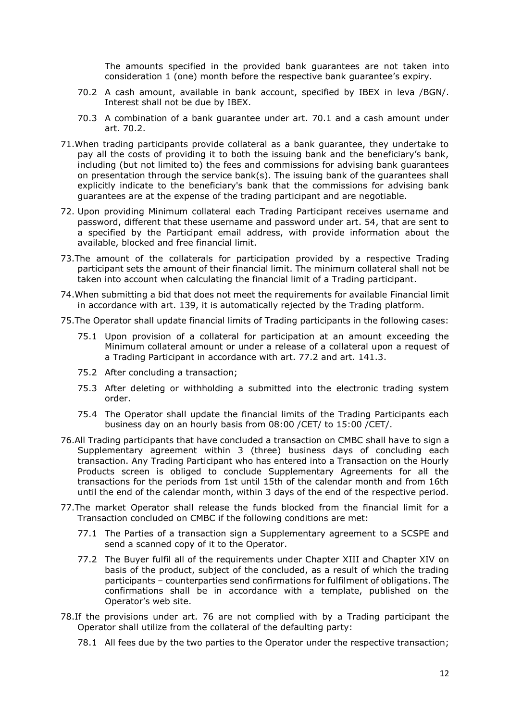The amounts specified in the provided bank guarantees are not taken into consideration 1 (one) month before the respective bank guarantee's expiry.

- 70.2 A cash amount, available in bank account, specified by IBEX in leva /BGN/. Interest shall not be due by IBEX.
- 70.3 A combination of a bank guarantee under art. 70.1 and a cash amount under art. 70.2.
- 71.When trading participants provide collateral as a bank guarantee, they undertake to pay all the costs of providing it to both the issuing bank and the beneficiary's bank, including (but not limited to) the fees and commissions for advising bank guarantees on presentation through the service bank(s). The issuing bank of the guarantees shall explicitly indicate to the beneficiary's bank that the commissions for advising bank guarantees are at the expense of the trading participant and are negotiable.
- 72. Upon providing Minimum collateral each Trading Participant receives username and password, different that these username and password under art. 54, that are sent to a specified by the Participant email address, with provide information about the available, blocked and free financial limit.
- 73.The amount of the collaterals for participation provided by a respective Trading participant sets the amount of their financial limit. The minimum collateral shall not be taken into account when calculating the financial limit of a Trading participant.
- 74.When submitting a bid that does not meet the requirements for available Financial limit in accordance with art. [139,](#page-18-1) it is automatically rejected by the Trading platform.
- 75.The Operator shall update financial limits of Trading participants in the following cases:
	- 75.1 Upon provision of a collateral for participation at an amount exceeding the Minimum collateral amount or under a release of a collateral upon a request of a Trading Participant in accordance with art. 77.2 and art. 141.3.
	- 75.2 After concluding a transaction;
	- 75.3 After deleting or withholding a submitted into the electronic trading system order.
	- 75.4 The Operator shall update the financial limits of the Trading Participants each business day on an hourly basis from 08:00 /CET/ to 15:00 /CET/.
- <span id="page-11-0"></span>76.All Trading participants that have concluded a transaction on CMBC shall have to sign a Supplementary agreement within 3 (three) business days of concluding each transaction. Any Trading Participant who has entered into a Transaction on the Hourly Products screen is obliged to conclude Supplementary Agreements for all the transactions for the periods from 1st until 15th of the calendar month and from 16th until the end of the calendar month, within 3 days of the end of the respective period.
- 77.The market Operator shall release the funds blocked from the financial limit for a Transaction concluded on CMBC if the following conditions are met:
	- 77.1 The Parties of a transaction sign a Supplementary agreement to a SCSPE and send a scanned copy of it to the Operator.
	- 77.2 The Buyer fulfil all of the requirements under Chapter XIII and Chapter XIV on basis of the product, subject of the concluded, as a result of which the trading participants – counterparties send confirmations for fulfilment of obligations. The confirmations shall be in accordance with a template, published on the Operator's web site.
- 78.If the provisions under art. [76](#page-11-0) are not complied with by a Trading participant the Operator shall utilize from the collateral of the defaulting party:
	- 78.1 All fees due by the two parties to the Operator under the respective transaction;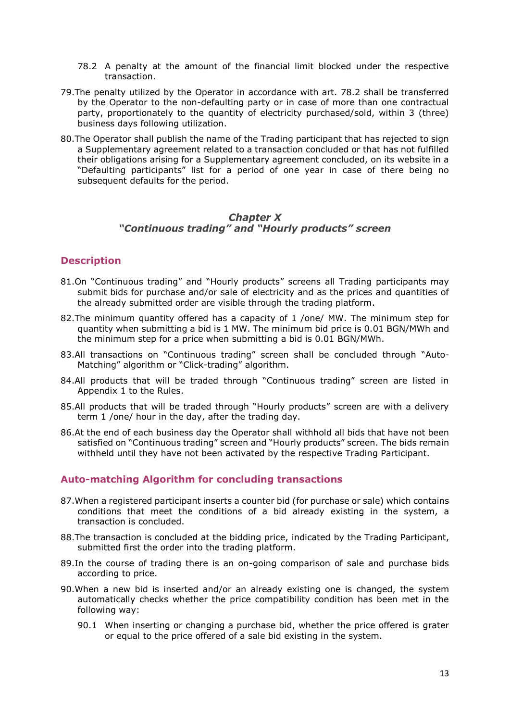- <span id="page-12-1"></span>78.2 A penalty at the amount of the financial limit blocked under the respective transaction.
- 79.The penalty utilized by the Operator in accordance with art. [78.2](#page-12-1) shall be transferred by the Operator to the non-defaulting party or in case of more than one contractual party, proportionately to the quantity of electricity purchased/sold, within 3 (three) business days following utilization.
- 80.The Operator shall publish the name of the Trading participant that has rejected to sign a Supplementary agreement related to a transaction concluded or that has not fulfilled their obligations arising for a Supplementary agreement concluded, on its website in a "Defaulting participants" list for a period of one year in case of there being no subsequent defaults for the period.

#### **Chapter X** *"Continuous trading" and "Hourly products" screen*

# <span id="page-12-0"></span>**Description**

- 81.On "Continuous trading" and "Hourly products" screens all Trading participants may submit bids for purchase and/or sale of electricity and as the prices and quantities of the already submitted order are visible through the trading platform.
- 82.The minimum quantity offered has a capacity of 1 /one/ MW. The minimum step for quantity when submitting a bid is 1 MW. The minimum bid price is 0.01 BGN/MWh and the minimum step for a price when submitting a bid is 0.01 BGN/MWh.
- 83.All transactions on "Continuous trading" screen shall be concluded through "Auto-Matching" algorithm or "Click-trading" algorithm.
- 84.All products that will be traded through "Continuous trading" screen are listed in Appendix 1 to the Rules.
- 85.All products that will be traded through "Hourly products" screen are with a delivery term 1 /one/ hour in the day, after the trading day.
- 86.At the end of each business day the Operator shall withhold all bids that have not been satisfied on "Continuous trading" screen and "Hourly products" screen. The bids remain withheld until they have not been activated by the respective Trading Participant.

#### **Auto-matching Algorithm for concluding transactions**

- 87.When a registered participant inserts a counter bid (for purchase or sale) which contains conditions that meet the conditions of a bid already existing in the system, a transaction is concluded.
- 88.The transaction is concluded at the bidding price, indicated by the Trading Participant, submitted first the order into the trading platform.
- 89.In the course of trading there is an on-going comparison of sale and purchase bids according to price.
- 90.When a new bid is inserted and/or an already existing one is changed, the system automatically checks whether the price compatibility condition has been met in the following way:
	- 90.1 When inserting or changing a purchase bid, whether the price offered is grater or equal to the price offered of a sale bid existing in the system.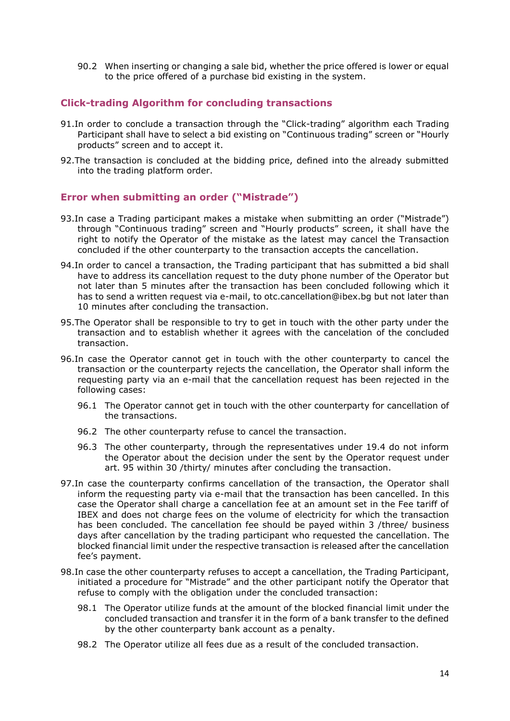90.2 When inserting or changing a sale bid, whether the price offered is lower or equal to the price offered of a purchase bid existing in the system.

# **Click-trading Algorithm for concluding transactions**

- 91.In order to conclude a transaction through the "Click-trading" algorithm each Trading Participant shall have to select a bid existing on "Continuous trading" screen or "Hourly products" screen and to accept it.
- 92.The transaction is concluded at the bidding price, defined into the already submitted into the trading platform order.

# **Error when submitting an order ("Mistrade")**

- 93.In case a Trading participant makes a mistake when submitting an order ("Mistrade") through "Continuous trading" screen and "Hourly products" screen, it shall have the right to notify the Operator of the mistake as the latest may cancel the Transaction concluded if the other counterparty to the transaction accepts the cancellation.
- 94.In order to cancel a transaction, the Trading participant that has submitted a bid shall have to address its cancellation request to the duty phone number of the Operator but not later than 5 minutes after the transaction has been concluded following which it has to send a written request via e-mail, to [otc.cancellation@ibex.bg](mailto:otc.cancellation@ibex.bg) but not later than 10 minutes after concluding the transaction.
- 95.The Operator shall be responsible to try to get in touch with the other party under the transaction and to establish whether it agrees with the cancelation of the concluded transaction.
- 96.In case the Operator cannot get in touch with the other counterparty to cancel the transaction or the counterparty rejects the cancellation, the Operator shall inform the requesting party via an e-mail that the cancellation request has been rejected in the following cases:
	- 96.1 The Operator cannot get in touch with the other counterparty for cancellation of the transactions.
	- 96.2 The other counterparty refuse to cancel the transaction.
	- 96.3 The other counterparty, through the representatives under 19.4 do not inform the Operator about the decision under the sent by the Operator request under art. 95 within 30 /thirty/ minutes after concluding the transaction.
- 97.In case the counterparty confirms cancellation of the transaction, the Operator shall inform the requesting party via e-mail that the transaction has been cancelled. In this case the Operator shall charge a cancellation fee at an amount set in the Fee tariff of IBEX and does not charge fees on the volume of electricity for which the transaction has been concluded. The cancellation fee should be payed within 3 /three/ business days after cancellation by the trading participant who requested the cancellation. The blocked financial limit under the respective transaction is released after the cancellation fee's payment.
- 98.In case the other counterparty refuses to accept a cancellation, the Trading Participant, initiated a procedure for "Mistrade" and the other participant notify the Operator that refuse to comply with the obligation under the concluded transaction:
	- 98.1 The Operator utilize funds at the amount of the blocked financial limit under the concluded transaction and transfer it in the form of a bank transfer to the defined by the other counterparty bank account as a penalty.
	- 98.2 The Operator utilize all fees due as a result of the concluded transaction.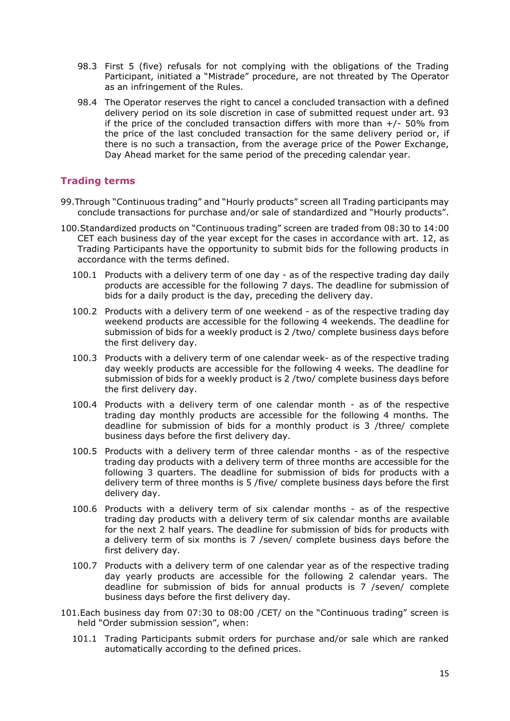- 98.3 First 5 (five) refusals for not complying with the obligations of the Trading Participant, initiated a "Mistrade" procedure, are not threated by The Operator as an infringement of the Rules.
- 98.4 The Operator reserves the right to cancel a concluded transaction with a defined delivery period on its sole discretion in case of submitted request under art. 93 if the price of the concluded transaction differs with more than  $+/-50\%$  from the price of the last concluded transaction for the same delivery period or, if there is no such a transaction, from the average price of the Power Exchange, Day Ahead market for the same period of the preceding calendar year.

## **Trading terms**

- 99.Through "Continuous trading" and "Hourly products" screen all Trading participants may conclude transactions for purchase and/or sale of standardized and "Hourly products".
- 100.Standardized products on "Continuous trading" screen are traded from 08:30 to 14:00 CET each business day of the year except for the cases in accordance with art. [12,](#page-5-2) as Trading Participants have the opportunity to submit bids for the following products in accordance with the terms defined.
	- 100.1 Products with a delivery term of one day as of the respective trading day daily products are accessible for the following 7 days. The deadline for submission of bids for a daily product is the day, preceding the delivery day.
	- 100.2 Products with a delivery term of one weekend as of the respective trading day weekend products are accessible for the following 4 weekends. The deadline for submission of bids for a weekly product is 2 /two/ complete business days before the first delivery day.
	- 100.3 Products with a delivery term of one calendar week- as of the respective trading day weekly products are accessible for the following 4 weeks. The deadline for submission of bids for a weekly product is 2 /two/ complete business days before the first delivery day.
	- 100.4 Products with a delivery term of one calendar month as of the respective trading day monthly products are accessible for the following 4 months. The deadline for submission of bids for a monthly product is 3 /three/ complete business days before the first delivery day.
	- 100.5 Products with a delivery term of three calendar months as of the respective trading day products with a delivery term of three months are accessible for the following 3 quarters. The deadline for submission of bids for products with a delivery term of three months is 5 /five/ complete business days before the first delivery day.
	- 100.6 Products with a delivery term of six calendar months as of the respective trading day products with a delivery term of six calendar months are available for the next 2 half years. The deadline for submission of bids for products with a delivery term of six months is 7 /seven/ complete business days before the first delivery day.
	- 100.7 Products with a delivery term of one calendar year as of the respective trading day yearly products are accessible for the following 2 calendar years. The deadline for submission of bids for annual products is 7 /seven/ complete business days before the first delivery day.
- 101.Each business day from 07:30 to 08:00 /CET/ on the "Continuous trading" screen is held "Order submission session", when:
	- 101.1 Trading Participants submit orders for purchase and/or sale which are ranked automatically according to the defined prices.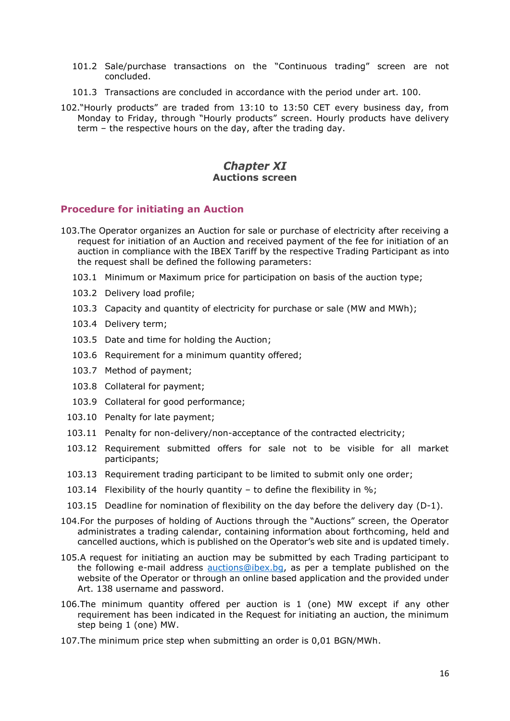- 101.2 Sale/purchase transactions on the "Continuous trading" screen are not concluded.
- 101.3 Transactions are concluded in accordance with the period under art. 100.
- 102."Hourly products" are traded from 13:10 to 13:50 CET every business day, from Monday to Friday, through "Hourly products" screen. Hourly products have delivery term – the respective hours on the day, after the trading day.

# **Chapter XI Auctions screen**

#### <span id="page-15-0"></span>**Procedure for initiating an Auction**

- 103.The Operator organizes an Auction for sale or purchase of electricity after receiving a request for initiation of an Auction and received payment of the fee for initiation of an auction in compliance with the IBEX Tariff by the respective Trading Participant as into the request shall be defined the following parameters:
	- 103.1 Minimum or Maximum price for participation on basis of the auction type;
	- 103.2 Delivery load profile;
	- 103.3 Capacity and quantity of electricity for purchase or sale (MW and MWh);
	- 103.4 Delivery term;
	- 103.5 Date and time for holding the Auction;
	- 103.6 Requirement for a minimum quantity offered;
	- 103.7 Method of payment;
	- 103.8 Collateral for payment;
	- 103.9 Collateral for good performance;
	- 103.10 Penalty for late payment;
	- 103.11 Penalty for non-delivery/non-acceptance of the contracted electricity;
	- 103.12 Requirement submitted offers for sale not to be visible for all market participants;
	- 103.13 Requirement trading participant to be limited to submit only one order;
	- 103.14 Flexibility of the hourly quantity to define the flexibility in %;
	- 103.15 Deadline for nomination of flexibility on the day before the delivery day (D-1).
- 104.For the purposes of holding of Auctions through the "Auctions" screen, the Operator administrates a trading calendar, containing information about forthcoming, held and cancelled auctions, which is published on the Operator's web site and is updated timely.
- 105.A request for initiating an auction may be submitted by each Trading participant to the following e-mail address [auctions@ibex.bg,](file:///D:/auctions@ibex.bg) as per a template published on the website of the Operator or through an online based application and the provided under Art. 138 username and password.
- 106.The minimum quantity offered per auction is 1 (one) MW except if any other requirement has been indicated in the Request for initiating an auction, the minimum step being 1 (one) MW.
- 107.The minimum price step when submitting an order is 0,01 BGN/MWh.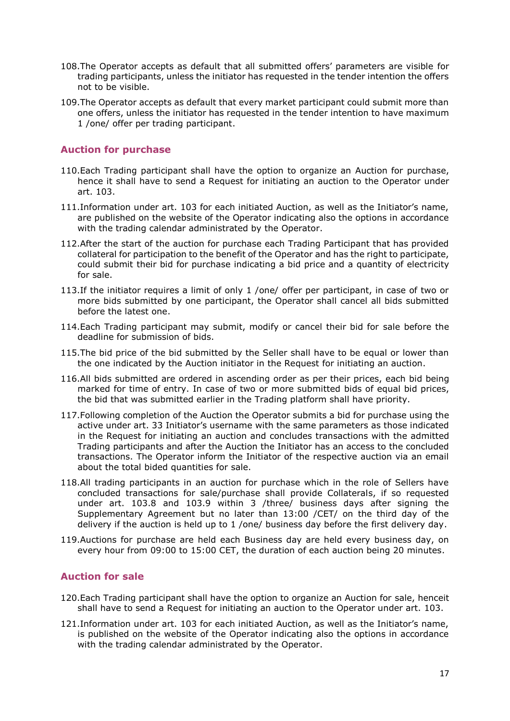- 108.The Operator accepts as default that all submitted offers' parameters are visible for trading participants, unless the initiator has requested in the tender intention the offers not to be visible.
- 109.The Operator accepts as default that every market participant could submit more than one offers, unless the initiator has requested in the tender intention to have maximum 1 /one/ offer per trading participant.

# **Auction for purchase**

- 110.Each Trading participant shall have the option to organize an Auction for purchase, hence it shall have to send a Request for initiating an auction to the Operator under art. 103.
- 111.Information under art. 103 for each initiated Auction, as well as the Initiator's name, are published on the website of the Operator indicating also the options in accordance with the trading calendar administrated by the Operator.
- 112.After the start of the auction for purchase each Trading Participant that has provided collateral for participation to the benefit of the Operator and has the right to participate, could submit their bid for purchase indicating a bid price and a quantity of electricity for sale.
- 113.If the initiator requires a limit of only 1 /one/ offer per participant, in case of two or more bids submitted by one participant, the Operator shall cancel all bids submitted before the latest one.
- 114.Each Trading participant may submit, modify or cancel their bid for sale before the deadline for submission of bids.
- 115.The bid price of the bid submitted by the Seller shall have to be equal or lower than the one indicated by the Auction initiator in the Request for initiating an auction.
- 116.All bids submitted are ordered in ascending order as per their prices, each bid being marked for time of entry. In case of two or more submitted bids of equal bid prices, the bid that was submitted earlier in the Trading platform shall have priority.
- 117.Following completion of the Auction the Operator submits a bid for purchase using the active under art. 33 Initiator's username with the same parameters as those indicated in the Request for initiating an auction and concludes transactions with the admitted Trading participants and after the Auction the Initiator has an access to the concluded transactions. The Operator inform the Initiator of the respective auction via an email about the total bided quantities for sale.
- 118.All trading participants in an auction for purchase which in the role of Sellers have concluded transactions for sale/purchase shall provide Collaterals, if so requested under art. 103.8 and 103.9 within 3 /three/ business days after signing the Supplementary Agreement but no later than 13:00 /CET/ on the third day of the delivery if the auction is held up to 1 /one/ business day before the first delivery day.
- 119.Auctions for purchase are held each Business day are held every business day, on every hour from 09:00 to 15:00 CET, the duration of each auction being 20 minutes.

#### **Auction for sale**

- 120.Each Trading participant shall have the option to organize an Auction for sale, henceit shall have to send a Request for initiating an auction to the Operator under art. 103.
- 121.Information under art. 103 for each initiated Auction, as well as the Initiator's name, is published on the website of the Operator indicating also the options in accordance with the trading calendar administrated by the Operator.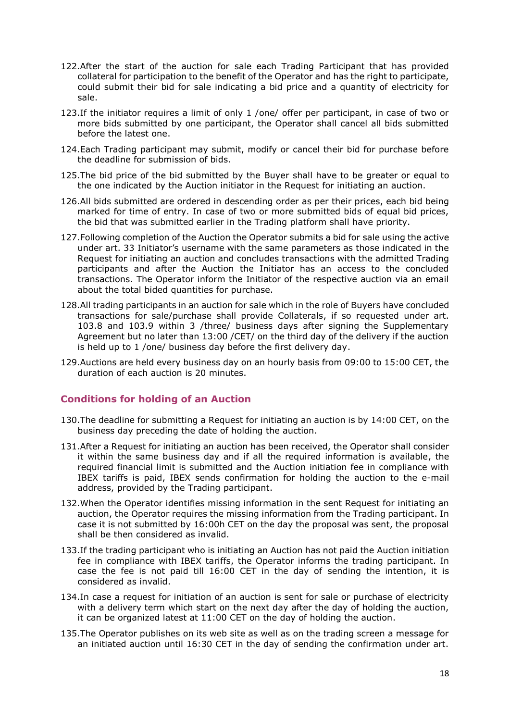- 122.After the start of the auction for sale each Trading Participant that has provided collateral for participation to the benefit of the Operator and has the right to participate, could submit their bid for sale indicating a bid price and a quantity of electricity for sale.
- 123.If the initiator requires a limit of only 1 /one/ offer per participant, in case of two or more bids submitted by one participant, the Operator shall cancel all bids submitted before the latest one.
- 124.Each Trading participant may submit, modify or cancel their bid for purchase before the deadline for submission of bids.
- 125.The bid price of the bid submitted by the Buyer shall have to be greater or equal to the one indicated by the Auction initiator in the Request for initiating an auction.
- 126.All bids submitted are ordered in descending order as per their prices, each bid being marked for time of entry. In case of two or more submitted bids of equal bid prices, the bid that was submitted earlier in the Trading platform shall have priority.
- 127.Following completion of the Auction the Operator submits a bid for sale using the active under art. 33 Initiator's username with the same parameters as those indicated in the Request for initiating an auction and concludes transactions with the admitted Trading participants and after the Auction the Initiator has an access to the concluded transactions. The Operator inform the Initiator of the respective auction via an email about the total bided quantities for purchase.
- 128.All trading participants in an auction for sale which in the role of Buyers have concluded transactions for sale/purchase shall provide Collaterals, if so requested under art. 103.8 and 103.9 within 3 /three/ business days after signing the Supplementary Agreement but no later than 13:00 /CET/ on the third day of the delivery if the auction is held up to 1 /one/ business day before the first delivery day.
- 129.Auctions are held every business day on an hourly basis from 09:00 to 15:00 CET, the duration of each auction is 20 minutes.

# **Conditions for holding of an Auction**

- 130.The deadline for submitting a Request for initiating an auction is by 14:00 CET, on the business day preceding the date of holding the auction.
- 131.After a Request for initiating an auction has been received, the Operator shall consider it within the same business day and if all the required information is available, the required financial limit is submitted and the Auction initiation fee in compliance with IBEX tariffs is paid, IBEX sends confirmation for holding the auction to the e-mail address, provided by the Trading participant.
- 132.When the Operator identifies missing information in the sent Request for initiating an auction, the Operator requires the missing information from the Trading participant. In case it is not submitted by 16:00h CET on the day the proposal was sent, the proposal shall be then considered as invalid.
- 133.If the trading participant who is initiating an Auction has not paid the Auction initiation fee in compliance with IBEX tariffs, the Operator informs the trading participant. In case the fee is not paid till 16:00 CET in the day of sending the intention, it is considered as invalid.
- 134.In case a request for initiation of an auction is sent for sale or purchase of electricity with a delivery term which start on the next day after the day of holding the auction, it can be organized latest at 11:00 CET on the day of holding the auction.
- 135.The Operator publishes on its web site as well as on the trading screen a message for an initiated auction until 16:30 CET in the day of sending the confirmation under art.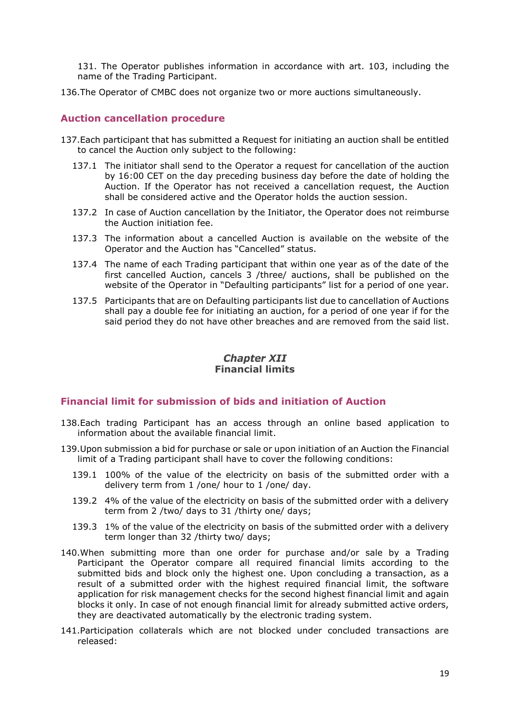131. The Operator publishes information in accordance with art. 103, including the name of the Trading Participant.

136.The Operator of CMBC does not organize two or more auctions simultaneously.

#### **Auction cancellation procedure**

- 137.Each participant that has submitted a Request for initiating an auction shall be entitled to cancel the Auction only subject to the following:
	- 137.1 The initiator shall send to the Operator a request for cancellation of the auction by 16:00 CET on the day preceding business day before the date of holding the Auction. If the Operator has not received a cancellation request, the Auction shall be considered active and the Operator holds the auction session.
	- 137.2 In case of Auction cancellation by the Initiator, the Operator does not reimburse the Auction initiation fee.
	- 137.3 The information about a cancelled Auction is available on the website of the Operator and the Auction has "Cancelled" status.
	- 137.4 The name of each Trading participant that within one year as of the date of the first cancelled Auction, cancels 3 /three/ auctions, shall be published on the website of the Operator in "Defaulting participants" list for a period of one year.
	- 137.5 Participants that are on Defaulting participants list due to cancellation of Auctions shall pay a double fee for initiating an auction, for a period of one year if for the said period they do not have other breaches and are removed from the said list.

#### **Chapter XII Financial limits**

#### <span id="page-18-0"></span>**Financial limit for submission of bids and initiation of Auction**

- 138.Each trading Participant has an access through an online based application to information about the available financial limit.
- <span id="page-18-1"></span>139.Upon submission a bid for purchase or sale or upon initiation of an Auction the Financial limit of a Trading participant shall have to cover the following conditions:
	- 139.1 100% of the value of the electricity on basis of the submitted order with a delivery term from 1 /one/ hour to 1 /one/ day.
	- 139.2 4% of the value of the electricity on basis of the submitted order with a delivery term from 2 /two/ days to 31 /thirty one/ days;
	- 139.3 1% of the value of the electricity on basis of the submitted order with a delivery term longer than 32 /thirty two/ days;
- 140.When submitting more than one order for purchase and/or sale by a Trading Participant the Operator compare all required financial limits according to the submitted bids and block only the highest one. Upon concluding a transaction, as a result of a submitted order with the highest required financial limit, the software application for risk management checks for the second highest financial limit and again blocks it only. In case of not enough financial limit for already submitted active orders, they are deactivated automatically by the electronic trading system.
- 141.Participation collaterals which are not blocked under concluded transactions are released: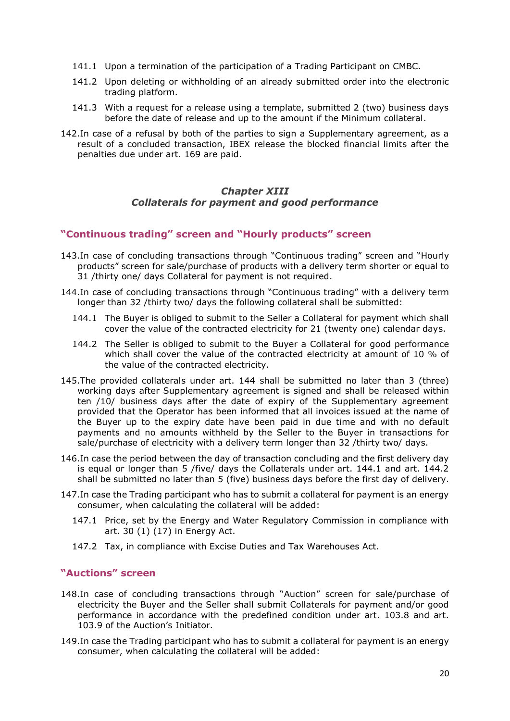- 141.1 Upon a termination of the participation of a Trading Participant on CMBC.
- 141.2 Upon deleting or withholding of an already submitted order into the electronic trading platform.
- 141.3 With a request for a release using a template, submitted 2 (two) business days before the date of release and up to the amount if the Minimum collateral.
- 142.In case of a refusal by both of the parties to sign a Supplementary agreement, as a result of a concluded transaction, IBEX release the blocked financial limits after the penalties due under art. 169 are paid.

#### **Chapter XIII** *Collaterals for payment and good performance*

#### <span id="page-19-0"></span>**"Continuous trading" screen and "Hourly products" screen**

- 143.In case of concluding transactions through "Continuous trading" screen and "Hourly products" screen for sale/purchase of products with a delivery term shorter or equal to 31 /thirty one/ days Collateral for payment is not required.
- 144.In case of concluding transactions through "Continuous trading" with a delivery term longer than 32 /thirty two/ days the following collateral shall be submitted:
	- 144.1 The Buyer is obliged to submit to the Seller a Collateral for payment which shall cover the value of the contracted electricity for 21 (twenty one) calendar days.
	- 144.2 The Seller is obliged to submit to the Buyer a Collateral for good performance which shall cover the value of the contracted electricity at amount of 10 % of the value of the contracted electricity.
- 145.The provided collaterals under art. 144 shall be submitted no later than 3 (three) working days after Supplementary agreement is signed and shall be released within ten /10/ business days after the date of expiry of the Supplementary agreement provided that the Operator has been informed that all invoices issued at the name of the Buyer up to the expiry date have been paid in due time and with no default payments and no amounts withheld by the Seller to the Buyer in transactions for sale/purchase of electricity with a delivery term longer than 32 /thirty two/ days.
- 146.In case the period between the day of transaction concluding and the first delivery day is equal or longer than 5 /five/ days the Collaterals under art. 144.1 and art. 144.2 shall be submitted no later than 5 (five) business days before the first day of delivery.
- 147.In case the Trading participant who has to submit a collateral for payment is an energy consumer, when calculating the collateral will be added:
	- 147.1 Price, set by the Energy and Water Regulatory Commission in compliance with art. 30 (1) (17) in Energy Act.
	- 147.2 Tax, in compliance with Excise Duties and Tax Warehouses Act.

#### **"Auctions" screen**

- 148.In case of concluding transactions through "Auction" screen for sale/purchase of electricity the Buyer and the Seller shall submit Collaterals for payment and/or good performance in accordance with the predefined condition under art. 103.8 and art. 103.9 of the Auction's Initiator.
- 149.In case the Trading participant who has to submit a collateral for payment is an energy consumer, when calculating the collateral will be added: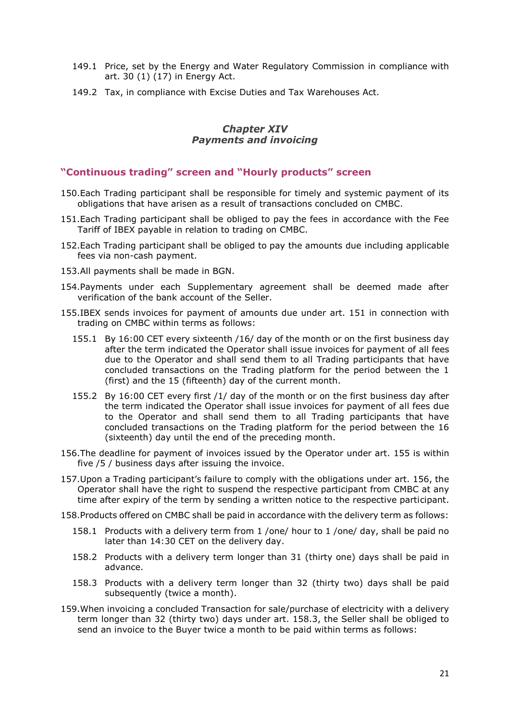- 149.1 Price, set by the Energy and Water Regulatory Commission in compliance with art. 30 (1) (17) in Energy Act.
- 149.2 Tax, in compliance with Excise Duties and Tax Warehouses Act.

## **Chapter XIV** *Payments and invoicing*

# <span id="page-20-0"></span>**"Continuous trading" screen and "Hourly products" screen**

- 150.Each Trading participant shall be responsible for timely and systemic payment of its obligations that have arisen as a result of transactions concluded on CMBC.
- <span id="page-20-1"></span>151.Each Trading participant shall be obliged to pay the fees in accordance with the Fee Tariff of IBEX payable in relation to trading on CMBC.
- 152.Each Trading participant shall be obliged to pay the amounts due including applicable fees via non-cash payment.
- 153.All payments shall be made in BGN.
- 154.Payments under each Supplementary agreement shall be deemed made after verification of the bank account of the Seller.
- 155.IBEX sends invoices for payment of amounts due under art. [151](#page-20-1) in connection with trading on CMBC within terms as follows:
	- 155.1 By 16:00 CET every sixteenth /16/ day of the month or on the first business day after the term indicated the Operator shall issue invoices for payment of all fees due to the Operator and shall send them to all Trading participants that have concluded transactions on the Trading platform for the period between the 1 (first) and the 15 (fifteenth) day of the current month.
	- 155.2 By 16:00 CET every first /1/ day of the month or on the first business day after the term indicated the Operator shall issue invoices for payment of all fees due to the Operator and shall send them to all Trading participants that have concluded transactions on the Trading platform for the period between the 16 (sixteenth) day until the end of the preceding month.
- <span id="page-20-2"></span>156.The deadline for payment of invoices issued by the Operator under art. 155 is within five /5 / business days after issuing the invoice.
- 157.Upon a Trading participant's failure to comply with the obligations under art. [156,](#page-20-2) the Operator shall have the right to suspend the respective participant from CMBC at any time after expiry of the term by sending a written notice to the respective participant.
- 158.Products offered on CMBC shall be paid in accordance with the delivery term as follows:
	- 158.1 Products with a delivery term from 1 /one/ hour to 1 /one/ day, shall be paid no later than 14:30 CET on the delivery day.
	- 158.2 Products with a delivery term longer than 31 (thirty one) days shall be paid in advance.
	- 158.3 Products with a delivery term longer than 32 (thirty two) days shall be paid subsequently (twice a month).
- 159.When invoicing a concluded Transaction for sale/purchase of electricity with a delivery term longer than 32 (thirty two) days under art. 158.3, the Seller shall be obliged to send an invoice to the Buyer twice a month to be paid within terms as follows: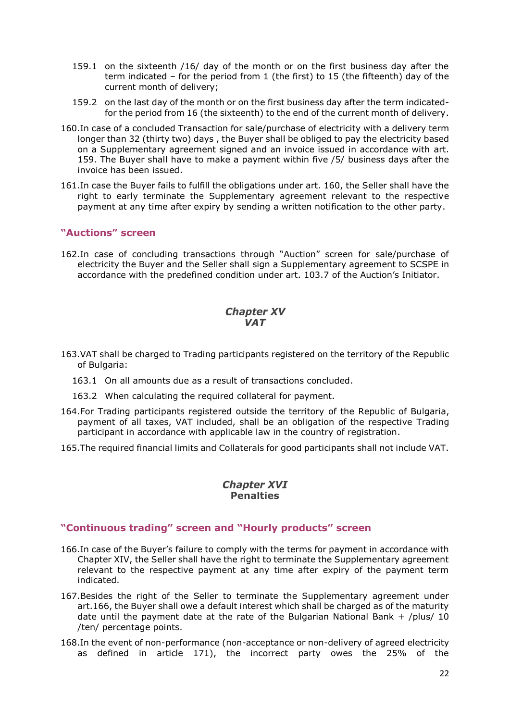- 159.1 on the sixteenth /16/ day of the month or on the first business day after the term indicated – for the period from 1 (the first) to 15 (the fifteenth) day of the current month of delivery;
- 159.2 on the last day of the month or on the first business day after the term indicatedfor the period from 16 (the sixteenth) to the end of the current month of delivery.
- <span id="page-21-2"></span>160.In case of a concluded Transaction for sale/purchase of electricity with a delivery term longer than 32 (thirty two) days , the Buyer shall be obliged to pay the electricity based on a Supplementary agreement signed and an invoice issued in accordance with art. 159. The Buyer shall have to make a payment within five /5/ business days after the invoice has been issued.
- 161.In case the Buyer fails to fulfill the obligations under art. [160,](#page-21-2) the Seller shall have the right to early terminate the Supplementary agreement relevant to the respective payment at any time after expiry by sending a written notification to the other party.

# **"Auctions" screen**

162.In case of concluding transactions through "Auction" screen for sale/purchase of electricity the Buyer and the Seller shall sign a Supplementary agreement to SCSPE in accordance with the predefined condition under art. 103.7 of the Auction's Initiator.

## **Chapter XV** *VAT*

- <span id="page-21-0"></span>163.VAT shall be charged to Trading participants registered on the territory of the Republic of Bulgaria:
	- 163.1 On all amounts due as a result of transactions concluded.
	- 163.2 When calculating the required collateral for payment.
- 164.For Trading participants registered outside the territory of the Republic of Bulgaria, payment of all taxes, VAT included, shall be an obligation of the respective Trading participant in accordance with applicable law in the country of registration.
- 165.The required financial limits and Collaterals for good participants shall not include VAT.

# **Chapter XVI Penalties**

## <span id="page-21-1"></span>**"Continuous trading" screen and "Hourly products" screen**

- 166.In case of the Buyer's failure to comply with the terms for payment in accordance with Chapter XIV, the Seller shall have the right to terminate the Supplementary agreement relevant to the respective payment at any time after expiry of the payment term indicated.
- 167.Besides the right of the Seller to terminate the Supplementary agreement under art.166, the Buyer shall owe a default interest which shall be charged as of the maturity date until the payment date at the rate of the Bulgarian National Bank + /plus/ 10 /ten/ percentage points.
- 168.In the event of non-performance (non-acceptance or non-delivery of agreed electricity as defined in article 171), the incorrect party owes the 25% of the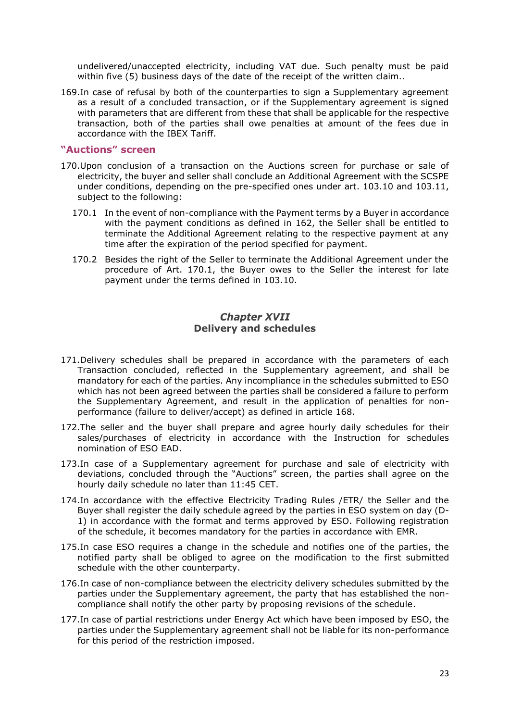undelivered/unaccepted electricity, including VAT due. Such penalty must be paid within five (5) business days of the date of the receipt of the written claim..

169.In case of refusal by both of the counterparties to sign a Supplementary agreement as a result of a concluded transaction, or if the Supplementary agreement is signed with parameters that are different from these that shall be applicable for the respective transaction, both of the parties shall owe penalties at amount of the fees due in accordance with the IBEX Tariff.

#### **"Auctions" screen**

- 170.Upon conclusion of a transaction on the Auctions screen for purchase or sale of electricity, the buyer and seller shall conclude an Additional Agreement with the SCSPE under conditions, depending on the pre-specified ones under art. 103.10 and 103.11, subject to the following:
	- 170.1 In the event of non-compliance with the Payment terms by a Buyer in accordance with the payment conditions as defined in 162, the Seller shall be entitled to terminate the Additional Agreement relating to the respective payment at any time after the expiration of the period specified for payment.
	- 170.2 Besides the right of the Seller to terminate the Additional Agreement under the procedure of Art. 170.1, the Buyer owes to the Seller the interest for late payment under the terms defined in 103.10.

## **Chapter XVII Delivery and schedules**

- <span id="page-22-0"></span>171.Delivery schedules shall be prepared in accordance with the parameters of each Transaction concluded, reflected in the Supplementary agreement, and shall be mandatory for each of the parties. Any incompliance in the schedules submitted to ESO which has not been agreed between the parties shall be considered a failure to perform the Supplementary Agreement, and result in the application of penalties for nonperformance (failure to deliver/accept) as defined in article 168.
- 172.The seller and the buyer shall prepare and agree hourly daily schedules for their sales/purchases of electricity in accordance with the Instruction for schedules nomination of ESO EAD.
- 173.In case of a Supplementary agreement for purchase and sale of electricity with deviations, concluded through the "Auctions" screen, the parties shall agree on the hourly daily schedule no later than 11:45 CET.
- 174.In accordance with the effective Electricity Trading Rules /ETR/ the Seller and the Buyer shall register the daily schedule agreed by the parties in ESO system on day (D-1) in accordance with the format and terms approved by ESO. Following registration of the schedule, it becomes mandatory for the parties in accordance with EMR.
- 175.In case ESO requires a change in the schedule and notifies one of the parties, the notified party shall be obliged to agree on the modification to the first submitted schedule with the other counterparty.
- 176.In case of non-compliance between the electricity delivery schedules submitted by the parties under the Supplementary agreement, the party that has established the noncompliance shall notify the other party by proposing revisions of the schedule.
- 177.In case of partial restrictions under Energy Act which have been imposed by ESO, the parties under the Supplementary agreement shall not be liable for its non-performance for this period of the restriction imposed.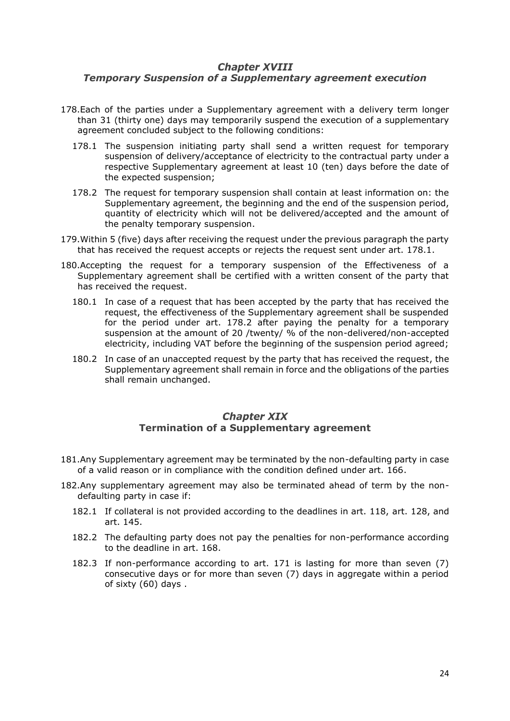# <span id="page-23-0"></span>**Chapter XVIII** *Temporary Suspension of a Supplementary agreement execution*

- <span id="page-23-2"></span>178.Each of the parties under a Supplementary agreement with a delivery term longer than 31 (thirty one) days may temporarily suspend the execution of a supplementary agreement concluded subject to the following conditions:
	- 178.1 The suspension initiating party shall send a written request for temporary suspension of delivery/acceptance of electricity to the contractual party under a respective Supplementary agreement at least 10 (ten) days before the date of the expected suspension;
	- 178.2 The request for temporary suspension shall contain at least information on: the Supplementary agreement, the beginning and the end of the suspension period, quantity of electricity which will not be delivered/accepted and the amount of the penalty temporary suspension.
- <span id="page-23-3"></span>179.Within 5 (five) days after receiving the request under the previous paragraph the party that has received the request accepts or rejects the request sent under art. [178.1.](#page-23-2)
- 180.Accepting the request for a temporary suspension of the Effectiveness of a Supplementary agreement shall be certified with a written consent of the party that has received the request.
	- 180.1 In case of a request that has been accepted by the party that has received the request, the effectiveness of the Supplementary agreement shall be suspended for the period under art. [178.2](#page-23-3) after paying the penalty for a temporary suspension at the amount of 20 /twenty/ % of the non-delivered/non-accepted electricity, including VAT before the beginning of the suspension period agreed;
	- 180.2 In case of an unaccepted request by the party that has received the request, the Supplementary agreement shall remain in force and the obligations of the parties shall remain unchanged.

#### **Chapter XIX Termination of a Supplementary agreement**

- <span id="page-23-1"></span>181.Any Supplementary agreement may be terminated by the non-defaulting party in case of a valid reason or in compliance with the condition defined under art. 166.
- 182.Any supplementary agreement may also be terminated ahead of term by the nondefaulting party in case if:
	- 182.1 If collateral is not provided according to the deadlines in art. 118, art. 128, and art. 145.
	- 182.2 The defaulting party does not pay the penalties for non-performance according to the deadline in art. 168.
	- 182.3 If non-performance according to art. 171 is lasting for more than seven (7) consecutive days or for more than seven (7) days in aggregate within a period of sixty (60) days .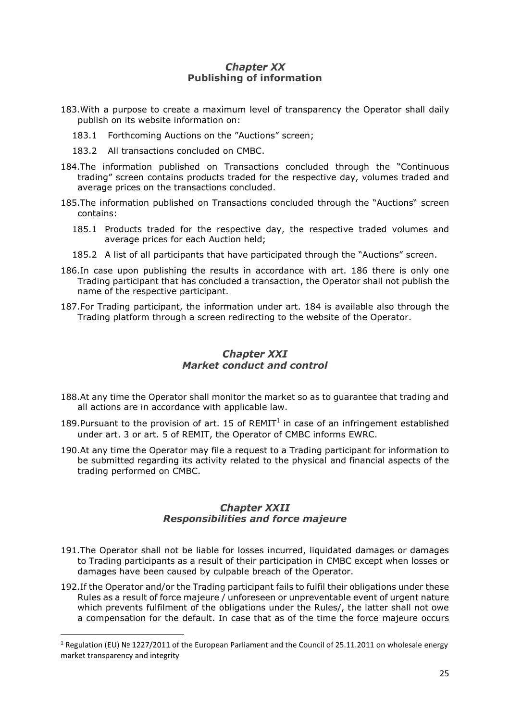# **Chapter XX Publishing of information**

- <span id="page-24-0"></span>183.With a purpose to create a maximum level of transparency the Operator shall daily publish on its website information on:
	- 183.1 Forthcoming Auctions on the "Auctions" screen;
	- 183.2 All transactions concluded on CMBC.
- 184.The information published on Transactions concluded through the "Continuous trading" screen contains products traded for the respective day, volumes traded and average prices on the transactions concluded.
- 185.The information published on Transactions concluded through the "Auctions" screen contains:
	- 185.1 Products traded for the respective day, the respective traded volumes and average prices for each Auction held;
	- 185.2 A list of all participants that have participated through the "Auctions" screen.
- 186.In case upon publishing the results in accordance with art. 186 there is only one Trading participant that has concluded a transaction, the Operator shall not publish the name of the respective participant.
- 187.For Trading participant, the information under art. 184 is available also through the Trading platform through a screen redirecting to the website of the Operator.

# **Chapter XXI** *Market conduct and control*

- <span id="page-24-1"></span>188.At any time the Operator shall monitor the market so as to guarantee that trading and all actions are in accordance with applicable law.
- 189. Pursuant to the provision of art. 15 of  $REMIT<sup>1</sup>$  in case of an infringement established under art. 3 or art. 5 of REMIT, the Operator of CMBC informs EWRC.
- 190.At any time the Operator may file a request to a Trading participant for information to be submitted regarding its activity related to the physical and financial aspects of the trading performed on CMBC.

# **Chapter XXII** *Responsibilities and force majeure*

- <span id="page-24-2"></span>191.The Operator shall not be liable for losses incurred, liquidated damages or damages to Trading participants as a result of their participation in CMBC except when losses or damages have been caused by culpable breach of the Operator.
- 192.If the Operator and/or the Trading participant fails to fulfil their obligations under these Rules as a result of force majeure / unforeseen or unpreventable event of urgent nature which prevents fulfilment of the obligations under the Rules/, the latter shall not owe a compensation for the default. In case that as of the time the force majeure occurs

1

<sup>1</sup> Regulation (ЕU) № 1227/2011 of the European Parliament and the Council of 25.11.2011 on wholesale energy market transparency and integrity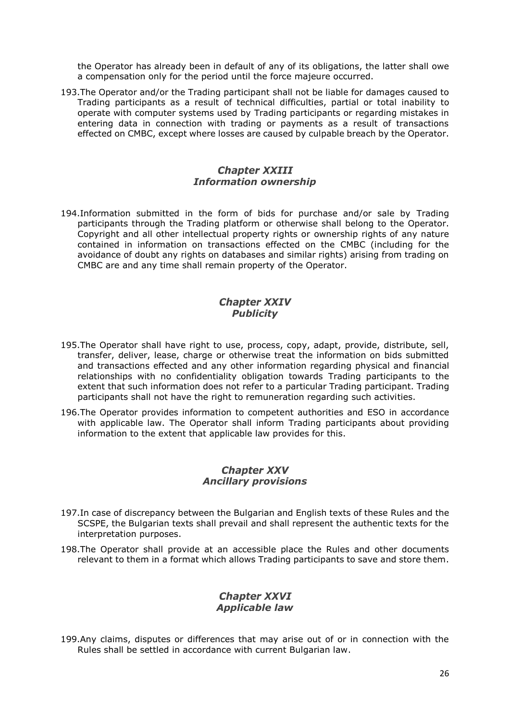the Operator has already been in default of any of its obligations, the latter shall owe a compensation only for the period until the force majeure occurred.

193.The Operator and/or the Trading participant shall not be liable for damages caused to Trading participants as a result of technical difficulties, partial or total inability to operate with computer systems used by Trading participants or regarding mistakes in entering data in connection with trading or payments as a result of transactions effected on CMBC, except where losses are caused by culpable breach by the Operator.

# **Chapter XXIII** *Information ownership*

<span id="page-25-0"></span>194.Information submitted in the form of bids for purchase and/or sale by Trading participants through the Trading platform or otherwise shall belong to the Operator. Copyright and all other intellectual property rights or ownership rights of any nature contained in information on transactions effected on the CMBC (including for the avoidance of doubt any rights on databases and similar rights) arising from trading on CMBC are and any time shall remain property of the Operator.

#### **Chapter XXIV** *Publicity*

- <span id="page-25-1"></span>195.The Operator shall have right to use, process, copy, adapt, provide, distribute, sell, transfer, deliver, lease, charge or otherwise treat the information on bids submitted and transactions effected and any other information regarding physical and financial relationships with no confidentiality obligation towards Trading participants to the extent that such information does not refer to a particular Trading participant. Trading participants shall not have the right to remuneration regarding such activities.
- 196.The Operator provides information to competent authorities and ESO in accordance with applicable law. The Operator shall inform Trading participants about providing information to the extent that applicable law provides for this.

# **Chapter XXV** *Ancillary provisions*

- <span id="page-25-2"></span>197.In case of discrepancy between the Bulgarian and English texts of these Rules and the SCSPE, the Bulgarian texts shall prevail and shall represent the authentic texts for the interpretation purposes.
- 198.The Operator shall provide at an accessible place the Rules and other documents relevant to them in a format which allows Trading participants to save and store them.

#### **Chapter XXVI** *Applicable law*

<span id="page-25-3"></span>199.Any claims, disputes or differences that may arise out of or in connection with the Rules shall be settled in accordance with current Bulgarian law.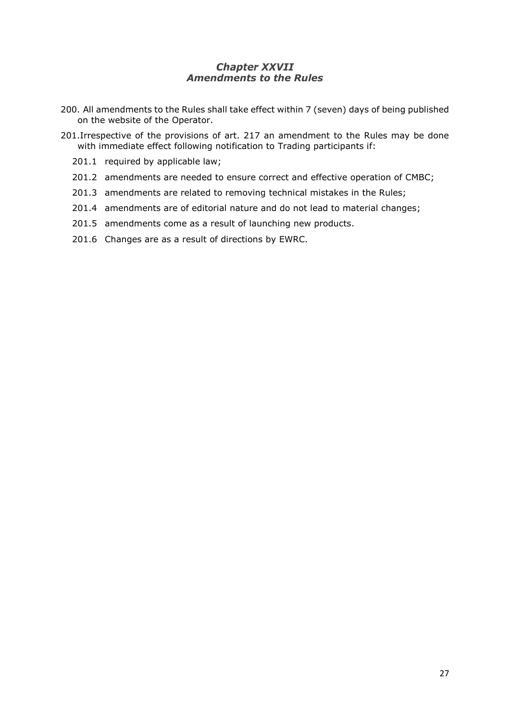# **Chapter XXVII** *Amendments to the Rules*

- <span id="page-26-0"></span>200. All amendments to the Rules shall take effect within 7 (seven) days of being published on the website of the Operator.
- 201.Irrespective of the provisions of art. 217 an amendment to the Rules may be done with immediate effect following notification to Trading participants if:
	- 201.1 required by applicable law;
	- 201.2 amendments are needed to ensure correct and effective operation of CMBC;
	- 201.3 amendments are related to removing technical mistakes in the Rules;
	- 201.4 amendments are of editorial nature and do not lead to material changes;
	- 201.5 amendments come as a result of launching new products.
	- 201.6 Changes are as a result of directions by EWRC.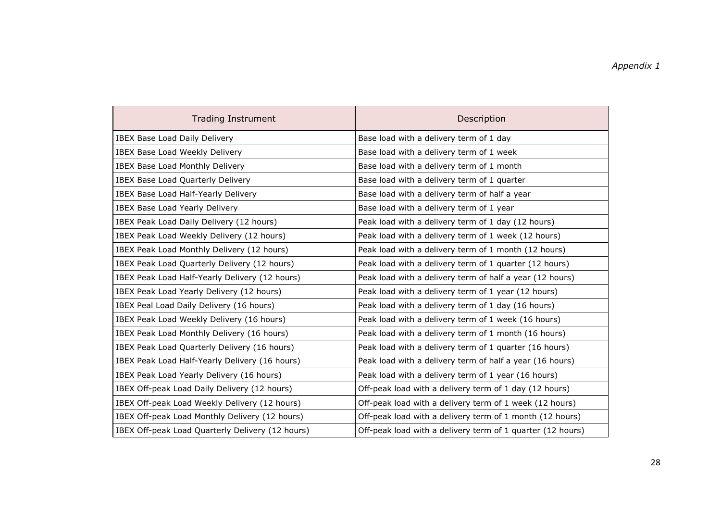| <b>Trading Instrument</b>                        | Description                                                |
|--------------------------------------------------|------------------------------------------------------------|
| <b>IBEX Base Load Daily Delivery</b>             | Base load with a delivery term of 1 day                    |
| IBEX Base Load Weekly Delivery                   | Base load with a delivery term of 1 week                   |
| <b>IBEX Base Load Monthly Delivery</b>           | Base load with a delivery term of 1 month                  |
| IBEX Base Load Quarterly Delivery                | Base load with a delivery term of 1 quarter                |
| IBEX Base Load Half-Yearly Delivery              | Base load with a delivery term of half a year              |
| <b>IBEX Base Load Yearly Delivery</b>            | Base load with a delivery term of 1 year                   |
| IBEX Peak Load Daily Delivery (12 hours)         | Peak load with a delivery term of 1 day (12 hours)         |
| IBEX Peak Load Weekly Delivery (12 hours)        | Peak load with a delivery term of 1 week (12 hours)        |
| IBEX Peak Load Monthly Delivery (12 hours)       | Peak load with a delivery term of 1 month (12 hours)       |
| IBEX Peak Load Quarterly Delivery (12 hours)     | Peak load with a delivery term of 1 quarter (12 hours)     |
| IBEX Peak Load Half-Yearly Delivery (12 hours)   | Peak load with a delivery term of half a year (12 hours)   |
| IBEX Peak Load Yearly Delivery (12 hours)        | Peak load with a delivery term of 1 year (12 hours)        |
| IBEX Peal Load Daily Delivery (16 hours)         | Peak load with a delivery term of 1 day (16 hours)         |
| IBEX Peak Load Weekly Delivery (16 hours)        | Peak load with a delivery term of 1 week (16 hours)        |
| IBEX Peak Load Monthly Delivery (16 hours)       | Peak load with a delivery term of 1 month (16 hours)       |
| IBEX Peak Load Quarterly Delivery (16 hours)     | Peak load with a delivery term of 1 quarter (16 hours)     |
| IBEX Peak Load Half-Yearly Delivery (16 hours)   | Peak load with a delivery term of half a year (16 hours)   |
| IBEX Peak Load Yearly Delivery (16 hours)        | Peak load with a delivery term of 1 year (16 hours)        |
| IBEX Off-peak Load Daily Delivery (12 hours)     | Off-peak load with a delivery term of 1 day (12 hours)     |
| IBEX Off-peak Load Weekly Delivery (12 hours)    | Off-peak load with a delivery term of 1 week (12 hours)    |
| IBEX Off-peak Load Monthly Delivery (12 hours)   | Off-peak load with a delivery term of 1 month (12 hours)   |
| IBEX Off-peak Load Quarterly Delivery (12 hours) | Off-peak load with a delivery term of 1 quarter (12 hours) |